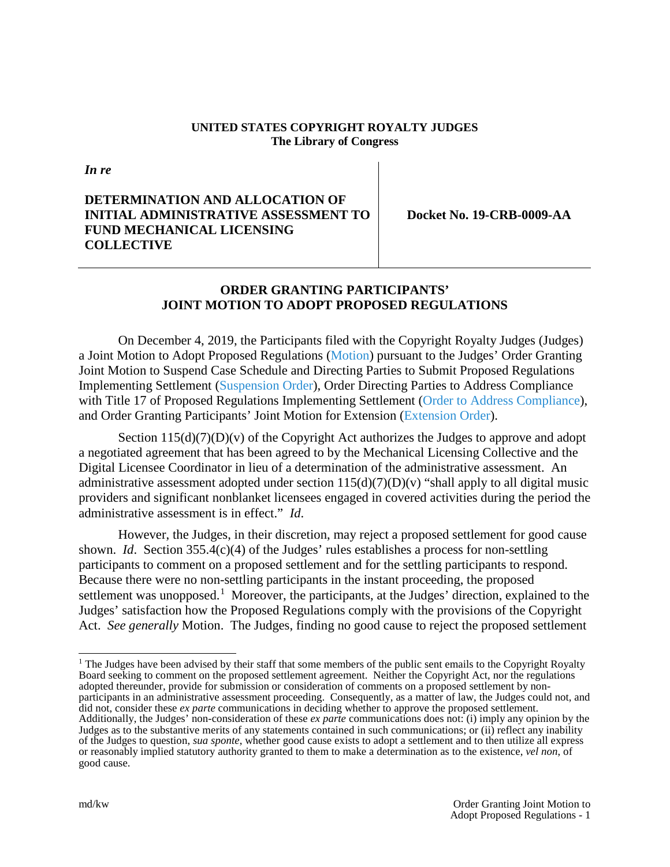#### **UNITED STATES COPYRIGHT ROYALTY JUDGES The Library of Congress**

*In re*

## **DETERMINATION AND ALLOCATION OF INITIAL ADMINISTRATIVE ASSESSMENT TO FUND MECHANICAL LICENSING COLLECTIVE**

**Docket No. 19-CRB-0009-AA**

## **ORDER GRANTING PARTICIPANTS' JOINT MOTION TO ADOPT PROPOSED REGULATIONS**

On December 4, 2019, the Participants filed with the Copyright Royalty Judges (Judges) a Joint Motion to Adopt Proposed Regulations [\(Motion\)](https://app.crb.gov/case/viewDocument/19112) pursuant to the Judges' Order Granting Joint Motion to Suspend Case Schedule and Directing Parties to Submit Proposed Regulations Implementing Settlement [\(Suspension Order\)](https://app.crb.gov/case/viewDocument/15277), Order Directing Parties to Address Compliance with Title 17 of Proposed Regulations Implementing Settlement [\(Order to Address Compliance\)](https://app.crb.gov/case/viewDocument/15705), and Order Granting Participants' Joint Motion for Extension [\(Extension Order\)](https://app.crb.gov/case/viewDocument/15744).

Section  $115(d)(7)(D)(v)$  of the Copyright Act authorizes the Judges to approve and adopt a negotiated agreement that has been agreed to by the Mechanical Licensing Collective and the Digital Licensee Coordinator in lieu of a determination of the administrative assessment. An administrative assessment adopted under section  $115(d)(7)(D)(v)$  "shall apply to all digital music providers and significant nonblanket licensees engaged in covered activities during the period the administrative assessment is in effect." *Id*.

However, the Judges, in their discretion, may reject a proposed settlement for good cause shown. *Id*. Section 355.4(c)(4) of the Judges' rules establishes a process for non-settling participants to comment on a proposed settlement and for the settling participants to respond. Because there were no non-settling participants in the instant proceeding, the proposed settlement was unopposed.<sup>[1](#page-0-0)</sup> Moreover, the participants, at the Judges' direction, explained to the Judges' satisfaction how the Proposed Regulations comply with the provisions of the Copyright Act. *See generally* Motion. The Judges, finding no good cause to reject the proposed settlement

<span id="page-0-0"></span><sup>&</sup>lt;sup>1</sup> The Judges have been advised by their staff that some members of the public sent emails to the Copyright Royalty Board seeking to comment on the proposed settlement agreement. Neither the Copyright Act, nor the regulations adopted thereunder, provide for submission or consideration of comments on a proposed settlement by nonparticipants in an administrative assessment proceeding. Consequently, as a matter of law, the Judges could not, and did not, consider these *ex parte* communications in deciding whether to approve the proposed settlement. Additionally, the Judges' non-consideration of these *ex parte* communications does not: (i) imply any opinion by the Judges as to the substantive merits of any statements contained in such communications; or (ii) reflect any inability of the Judges to question, *sua sponte*, whether good cause exists to adopt a settlement and to then utilize all express or reasonably implied statutory authority granted to them to make a determination as to the existence, *vel non*, of good cause.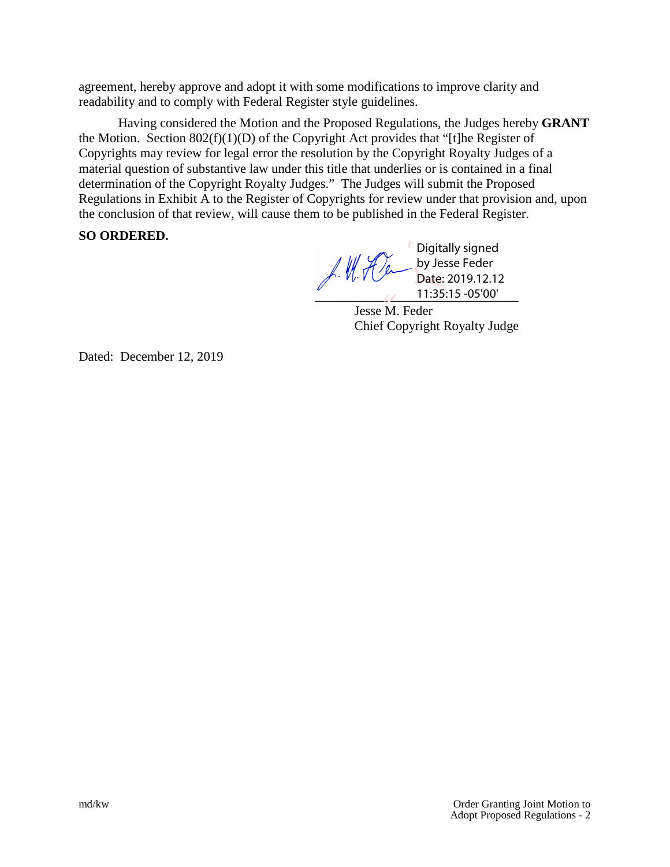agreement, hereby approve and adopt it with some modifications to improve clarity and readability and to comply with Federal Register style guidelines.

Having considered the Motion and the Proposed Regulations, the Judges hereby **GRANT**  the Motion. Section  $802(f)(1)(D)$  of the Copyright Act provides that "[t]he Register of Copyrights may review for legal error the resolution by the Copyright Royalty Judges of a material question of substantive law under this title that underlies or is contained in a final determination of the Copyright Royalty Judges." The Judges will submit the Proposed Regulations in Exhibit A to the Register of Copyrights for review under that provision and, upon the conclusion of that review, will cause them to be published in the Federal Register.

## **SO ORDERED.**

Digitally signed f. W. Den by Jesse Feder Date: 2019.12.12  $\frac{11:35:15-05'00'}{2}$ 

Jesse M. Feder Chief Copyright Royalty Judge

Dated: December 12, 2019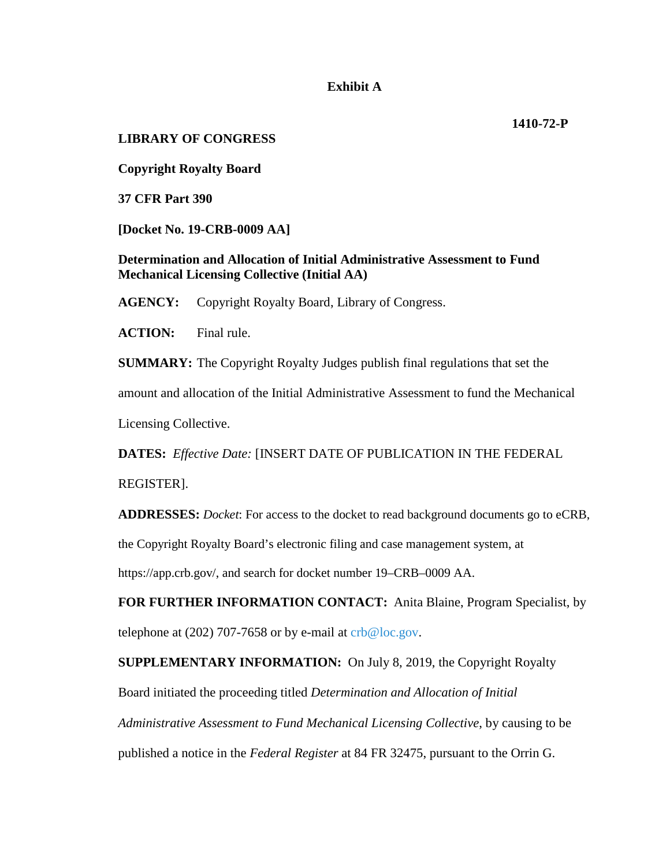#### **Exhibit A**

## **LIBRARY OF CONGRESS**

**Copyright Royalty Board**

**37 CFR Part 390**

**[Docket No. 19-CRB-0009 AA]**

**Determination and Allocation of Initial Administrative Assessment to Fund Mechanical Licensing Collective (Initial AA)**

**AGENCY:** Copyright Royalty Board, Library of Congress.

**ACTION:** Final rule.

**SUMMARY:** The Copyright Royalty Judges publish final regulations that set the amount and allocation of the Initial Administrative Assessment to fund the Mechanical Licensing Collective.

**DATES:** *Effective Date:* [INSERT DATE OF PUBLICATION IN THE FEDERAL REGISTER].

**ADDRESSES:** *Docket*: For access to the docket to read background documents go to eCRB, the Copyright Royalty Board's electronic filing and case management system, at https://app.crb.gov/, and search for docket number 19–CRB–0009 AA.

**FOR FURTHER INFORMATION CONTACT:** Anita Blaine, Program Specialist, by telephone at (202) 707-7658 or by e-mail at  $crb@loc.gov$ .

**SUPPLEMENTARY INFORMATION:** On July 8, 2019, the Copyright Royalty

Board initiated the proceeding titled *Determination and Allocation of Initial* 

*Administrative Assessment to Fund Mechanical Licensing Collective*, by causing to be published a notice in the *Federal Register* at 84 FR 32475, pursuant to the Orrin G.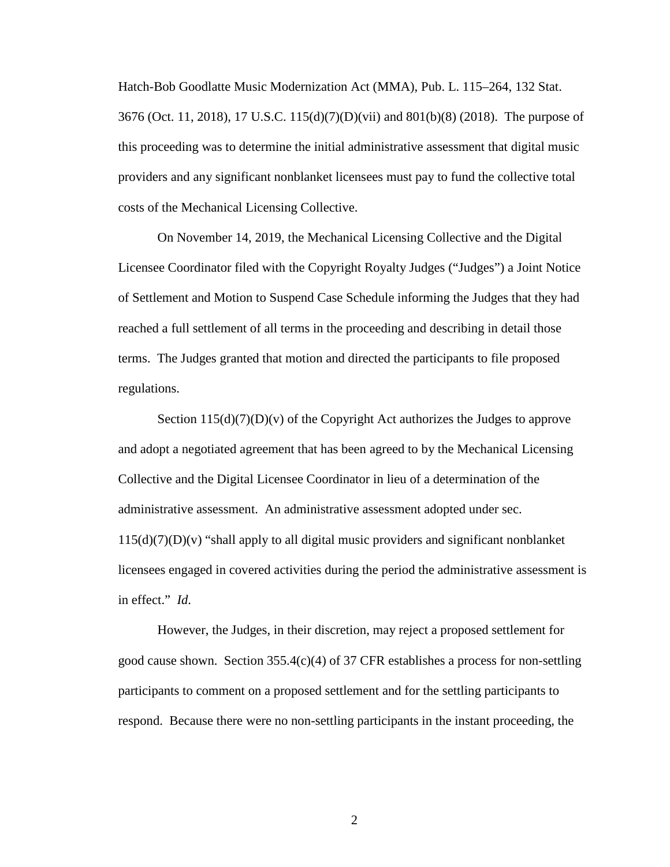Hatch-Bob Goodlatte Music Modernization Act (MMA), Pub. L. 115–264, 132 Stat. 3676 (Oct. 11, 2018), 17 U.S.C. 115(d)(7)(D)(vii) and 801(b)(8) (2018). The purpose of this proceeding was to determine the initial administrative assessment that digital music providers and any significant nonblanket licensees must pay to fund the collective total costs of the Mechanical Licensing Collective.

On November 14, 2019, the Mechanical Licensing Collective and the Digital Licensee Coordinator filed with the Copyright Royalty Judges ("Judges") a Joint Notice of Settlement and Motion to Suspend Case Schedule informing the Judges that they had reached a full settlement of all terms in the proceeding and describing in detail those terms. The Judges granted that motion and directed the participants to file proposed regulations.

Section  $115(d)(7)(D)(v)$  of the Copyright Act authorizes the Judges to approve and adopt a negotiated agreement that has been agreed to by the Mechanical Licensing Collective and the Digital Licensee Coordinator in lieu of a determination of the administrative assessment. An administrative assessment adopted under sec.  $115(d)(7)(D)(v)$  "shall apply to all digital music providers and significant nonblanket licensees engaged in covered activities during the period the administrative assessment is in effect." *Id*.

However, the Judges, in their discretion, may reject a proposed settlement for good cause shown. Section  $355.4(c)(4)$  of 37 CFR establishes a process for non-settling participants to comment on a proposed settlement and for the settling participants to respond. Because there were no non-settling participants in the instant proceeding, the

2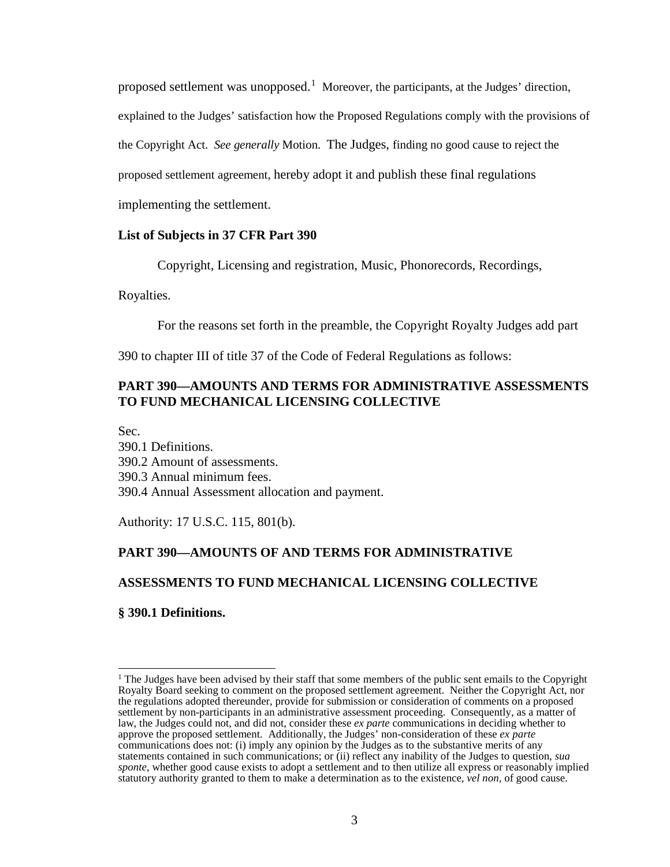proposed settlement was unopposed.<sup>[1](#page-4-0)</sup> Moreover, the participants, at the Judges' direction, explained to the Judges' satisfaction how the Proposed Regulations comply with the provisions of the Copyright Act. *See generally* Motion. The Judges, finding no good cause to reject the proposed settlement agreement, hereby adopt it and publish these final regulations implementing the settlement.

#### **List of Subjects in 37 CFR Part 390**

Copyright, Licensing and registration, Music, Phonorecords, Recordings,

#### Royalties.

For the reasons set forth in the preamble, the Copyright Royalty Judges add part

390 to chapter III of title 37 of the Code of Federal Regulations as follows:

## **PART 390—AMOUNTS AND TERMS FOR ADMINISTRATIVE ASSESSMENTS TO FUND MECHANICAL LICENSING COLLECTIVE**

Sec.

390.1 Definitions. 390.2 Amount of assessments. 390.3 Annual minimum fees. 390.4 Annual Assessment allocation and payment.

Authority: 17 U.S.C. 115, 801(b).

## **PART 390—AMOUNTS OF AND TERMS FOR ADMINISTRATIVE**

# **ASSESSMENTS TO FUND MECHANICAL LICENSING COLLECTIVE**

#### **§ 390.1 Definitions.**

<span id="page-4-0"></span> $1$  The Judges have been advised by their staff that some members of the public sent emails to the Copyright Royalty Board seeking to comment on the proposed settlement agreement. Neither the Copyright Act, nor the regulations adopted thereunder, provide for submission or consideration of comments on a proposed settlement by non-participants in an administrative assessment proceeding. Consequently, as a matter of law, the Judges could not, and did not, consider these *ex parte* communications in deciding whether to approve the proposed settlement. Additionally, the Judges' non-consideration of these *ex parte* communications does not: (i) imply any opinion by the Judges as to the substantive merits of any statements contained in such communications; or (ii) reflect any inability of the Judges to question, *sua sponte*, whether good cause exists to adopt a settlement and to then utilize all express or reasonably implied statutory authority granted to them to make a determination as to the existence, *vel non*, of good cause.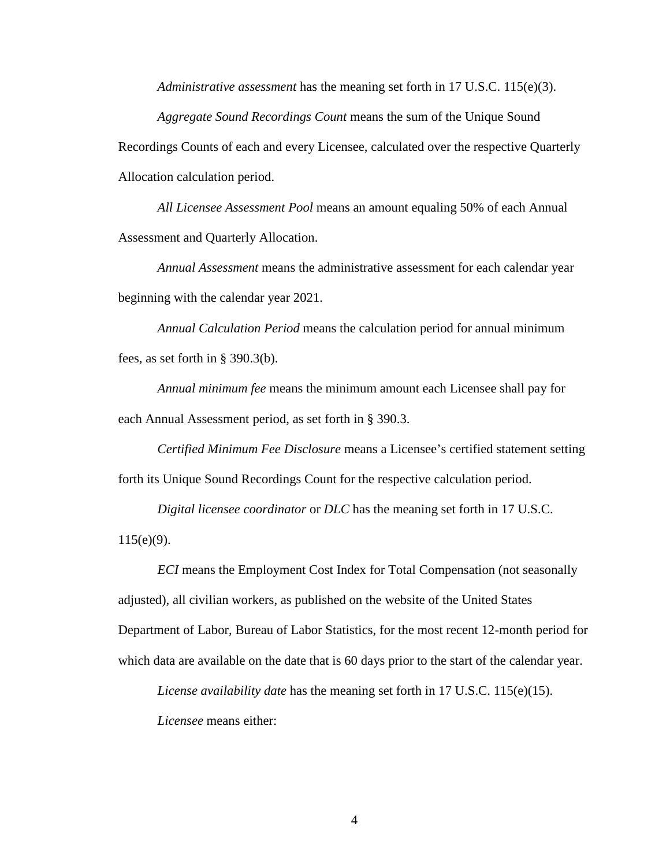*Administrative assessment* has the meaning set forth in 17 U.S.C. 115(e)(3).

*Aggregate Sound Recordings Count* means the sum of the Unique Sound Recordings Counts of each and every Licensee, calculated over the respective Quarterly Allocation calculation period.

*All Licensee Assessment Pool* means an amount equaling 50% of each Annual Assessment and Quarterly Allocation.

*Annual Assessment* means the administrative assessment for each calendar year beginning with the calendar year 2021.

*Annual Calculation Period* means the calculation period for annual minimum fees, as set forth in § 390.3(b).

*Annual minimum fee* means the minimum amount each Licensee shall pay for each Annual Assessment period, as set forth in § 390.3.

*Certified Minimum Fee Disclosure* means a Licensee's certified statement setting forth its Unique Sound Recordings Count for the respective calculation period.

*Digital licensee coordinator* or *DLC* has the meaning set forth in 17 U.S.C.

 $115(e)(9)$ .

*ECI* means the Employment Cost Index for Total Compensation (not seasonally adjusted), all civilian workers, as published on the website of the United States Department of Labor, Bureau of Labor Statistics, for the most recent 12-month period for which data are available on the date that is 60 days prior to the start of the calendar year.

*License availability date* has the meaning set forth in 17 U.S.C. 115(e)(15).

*Licensee* means either: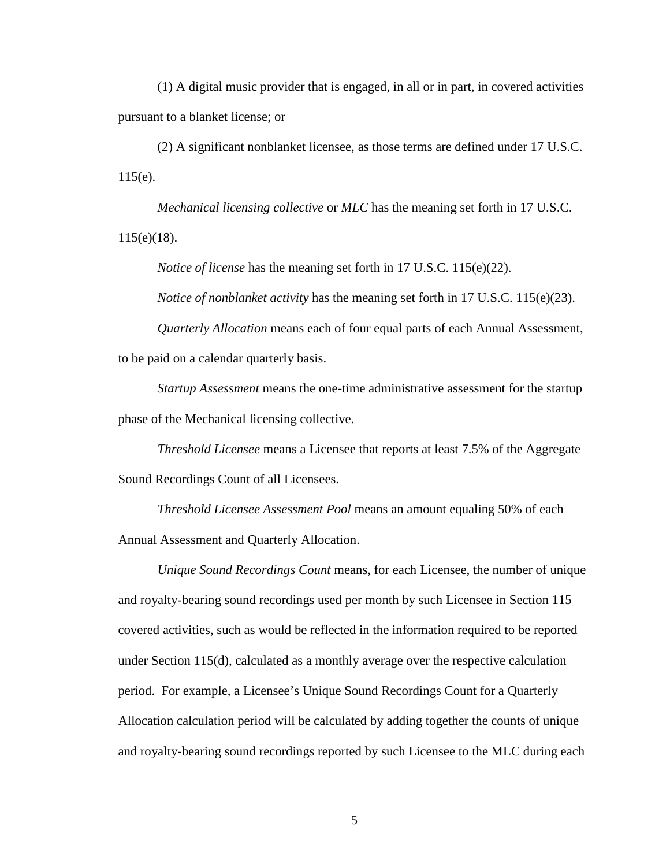(1) A digital music provider that is engaged, in all or in part, in covered activities pursuant to a blanket license; or

(2) A significant nonblanket licensee, as those terms are defined under 17 U.S.C.  $115(e)$ .

*Mechanical licensing collective* or *MLC* has the meaning set forth in 17 U.S.C. 115(e)(18).

*Notice of license* has the meaning set forth in 17 U.S.C. 115(e)(22).

*Notice of nonblanket activity* has the meaning set forth in 17 U.S.C. 115(e)(23).

*Quarterly Allocation* means each of four equal parts of each Annual Assessment, to be paid on a calendar quarterly basis.

*Startup Assessment* means the one-time administrative assessment for the startup phase of the Mechanical licensing collective.

*Threshold Licensee* means a Licensee that reports at least 7.5% of the Aggregate Sound Recordings Count of all Licensees.

*Threshold Licensee Assessment Pool* means an amount equaling 50% of each Annual Assessment and Quarterly Allocation.

*Unique Sound Recordings Count* means, for each Licensee, the number of unique and royalty-bearing sound recordings used per month by such Licensee in Section 115 covered activities, such as would be reflected in the information required to be reported under Section 115(d), calculated as a monthly average over the respective calculation period. For example, a Licensee's Unique Sound Recordings Count for a Quarterly Allocation calculation period will be calculated by adding together the counts of unique and royalty-bearing sound recordings reported by such Licensee to the MLC during each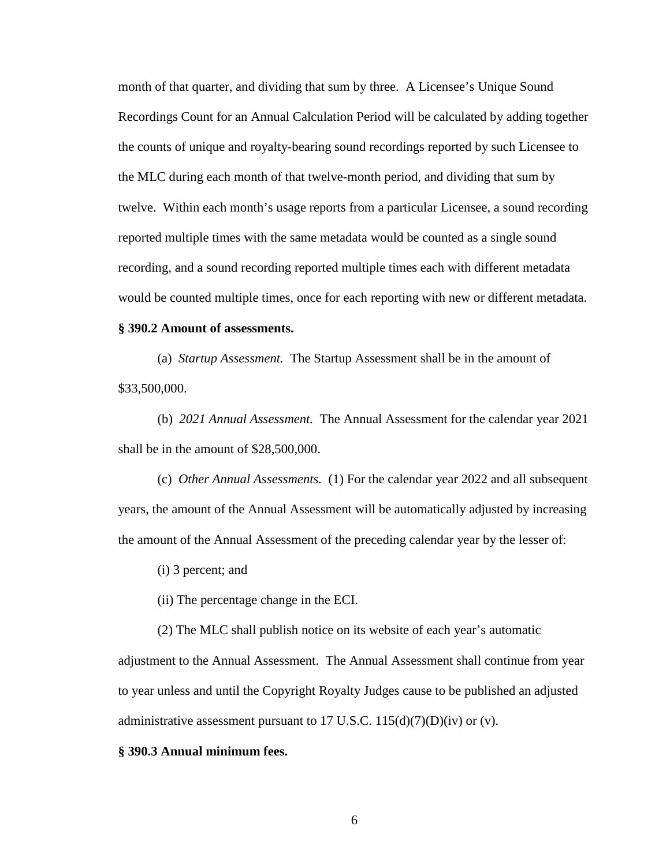month of that quarter, and dividing that sum by three. A Licensee's Unique Sound Recordings Count for an Annual Calculation Period will be calculated by adding together the counts of unique and royalty-bearing sound recordings reported by such Licensee to the MLC during each month of that twelve-month period, and dividing that sum by twelve. Within each month's usage reports from a particular Licensee, a sound recording reported multiple times with the same metadata would be counted as a single sound recording, and a sound recording reported multiple times each with different metadata would be counted multiple times, once for each reporting with new or different metadata.

## **§ 390.2 Amount of assessments.**

(a) *Startup Assessment.* The Startup Assessment shall be in the amount of \$33,500,000.

(b) *2021 Annual Assessment.* The Annual Assessment for the calendar year 2021 shall be in the amount of \$28,500,000.

(c) *Other Annual Assessments.* (1) For the calendar year 2022 and all subsequent years, the amount of the Annual Assessment will be automatically adjusted by increasing the amount of the Annual Assessment of the preceding calendar year by the lesser of:

(i) 3 percent; and

(ii) The percentage change in the ECI.

(2) The MLC shall publish notice on its website of each year's automatic

adjustment to the Annual Assessment. The Annual Assessment shall continue from year to year unless and until the Copyright Royalty Judges cause to be published an adjusted administrative assessment pursuant to 17 U.S.C.  $115(d)(7)(D)(iv)$  or (v).

#### **§ 390.3 Annual minimum fees.**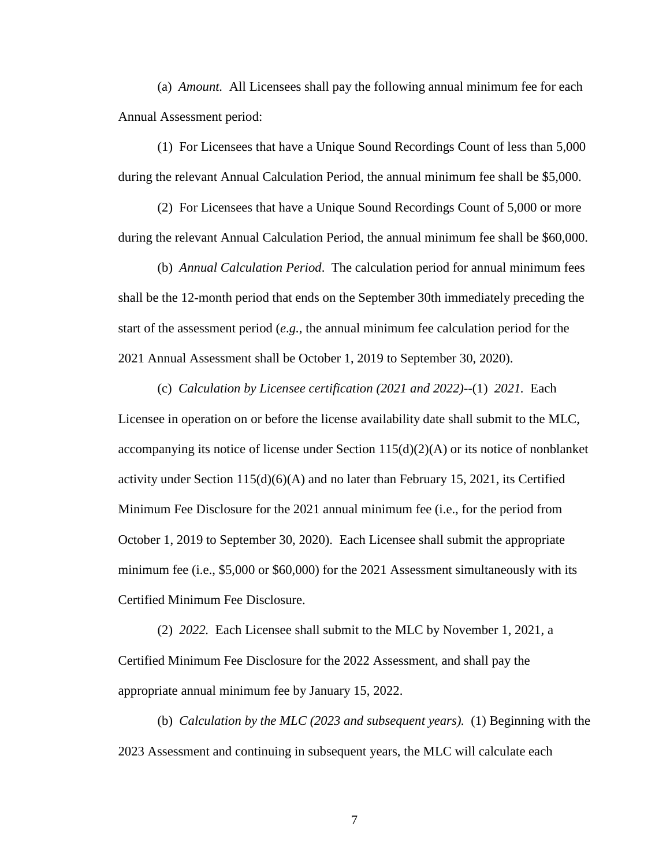(a) *Amount.* All Licensees shall pay the following annual minimum fee for each Annual Assessment period:

(1) For Licensees that have a Unique Sound Recordings Count of less than 5,000 during the relevant Annual Calculation Period, the annual minimum fee shall be \$5,000.

(2) For Licensees that have a Unique Sound Recordings Count of 5,000 or more during the relevant Annual Calculation Period, the annual minimum fee shall be \$60,000.

(b) *Annual Calculation Period*. The calculation period for annual minimum fees shall be the 12-month period that ends on the September 30th immediately preceding the start of the assessment period (*e*.*g.*, the annual minimum fee calculation period for the 2021 Annual Assessment shall be October 1, 2019 to September 30, 2020).

(c) *Calculation by Licensee certification (2021 and 2022)*--(1) *2021.* Each Licensee in operation on or before the license availability date shall submit to the MLC, accompanying its notice of license under Section  $115(d)(2)(A)$  or its notice of nonblanket activity under Section  $115(d)(6)(A)$  and no later than February 15, 2021, its Certified Minimum Fee Disclosure for the 2021 annual minimum fee (i.e., for the period from October 1, 2019 to September 30, 2020). Each Licensee shall submit the appropriate minimum fee (i.e., \$5,000 or \$60,000) for the 2021 Assessment simultaneously with its Certified Minimum Fee Disclosure.

(2) *2022.* Each Licensee shall submit to the MLC by November 1, 2021, a Certified Minimum Fee Disclosure for the 2022 Assessment, and shall pay the appropriate annual minimum fee by January 15, 2022.

(b) *Calculation by the MLC (2023 and subsequent years).* (1) Beginning with the 2023 Assessment and continuing in subsequent years, the MLC will calculate each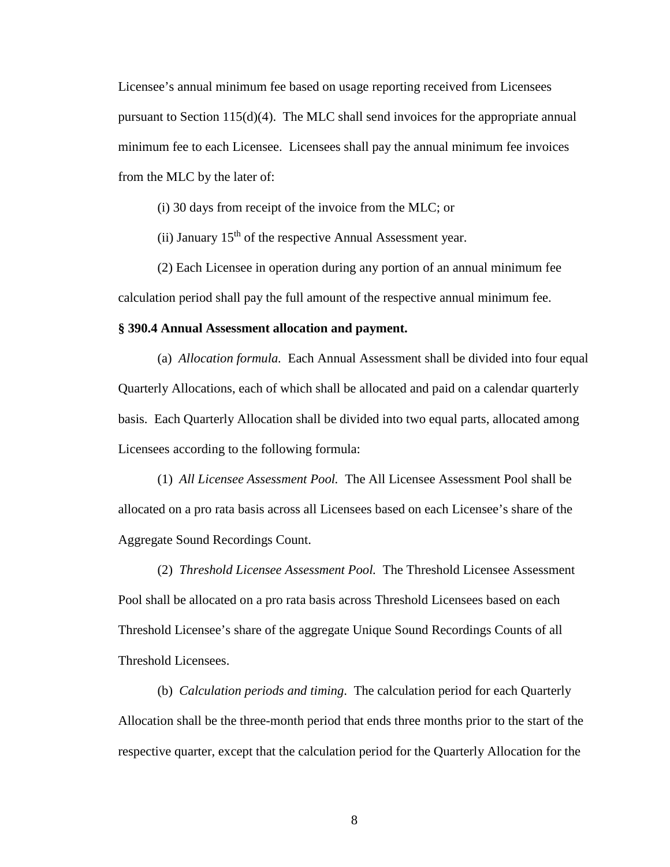Licensee's annual minimum fee based on usage reporting received from Licensees pursuant to Section 115(d)(4). The MLC shall send invoices for the appropriate annual minimum fee to each Licensee. Licensees shall pay the annual minimum fee invoices from the MLC by the later of:

(i) 30 days from receipt of the invoice from the MLC; or

(ii) January  $15<sup>th</sup>$  of the respective Annual Assessment year.

(2) Each Licensee in operation during any portion of an annual minimum fee calculation period shall pay the full amount of the respective annual minimum fee.

#### **§ 390.4 Annual Assessment allocation and payment.**

(a) *Allocation formula.* Each Annual Assessment shall be divided into four equal Quarterly Allocations, each of which shall be allocated and paid on a calendar quarterly basis. Each Quarterly Allocation shall be divided into two equal parts, allocated among Licensees according to the following formula:

(1) *All Licensee Assessment Pool.* The All Licensee Assessment Pool shall be allocated on a pro rata basis across all Licensees based on each Licensee's share of the Aggregate Sound Recordings Count.

(2) *Threshold Licensee Assessment Pool.* The Threshold Licensee Assessment Pool shall be allocated on a pro rata basis across Threshold Licensees based on each Threshold Licensee's share of the aggregate Unique Sound Recordings Counts of all Threshold Licensees.

(b) *Calculation periods and timing*. The calculation period for each Quarterly Allocation shall be the three-month period that ends three months prior to the start of the respective quarter, except that the calculation period for the Quarterly Allocation for the

8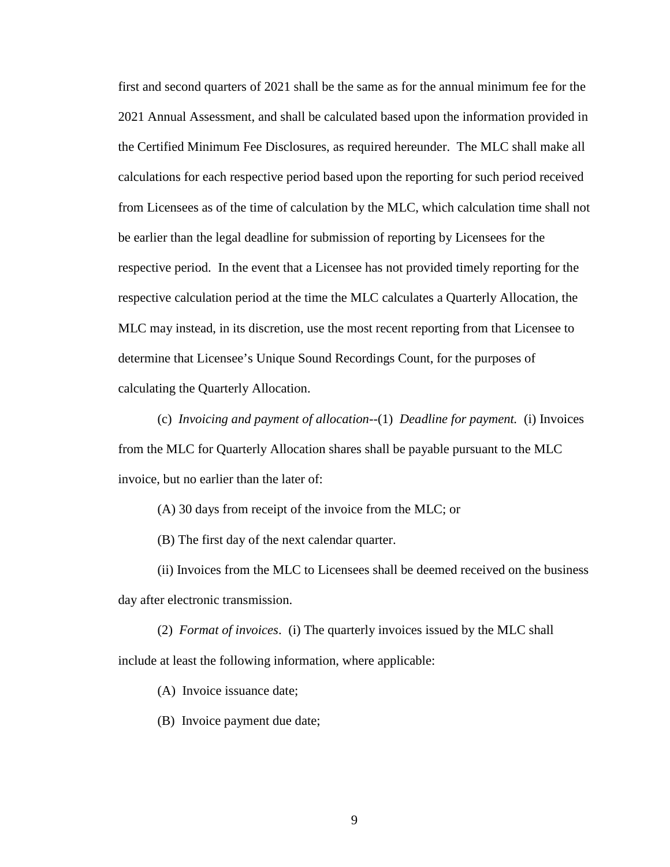first and second quarters of 2021 shall be the same as for the annual minimum fee for the 2021 Annual Assessment, and shall be calculated based upon the information provided in the Certified Minimum Fee Disclosures, as required hereunder. The MLC shall make all calculations for each respective period based upon the reporting for such period received from Licensees as of the time of calculation by the MLC, which calculation time shall not be earlier than the legal deadline for submission of reporting by Licensees for the respective period. In the event that a Licensee has not provided timely reporting for the respective calculation period at the time the MLC calculates a Quarterly Allocation, the MLC may instead, in its discretion, use the most recent reporting from that Licensee to determine that Licensee's Unique Sound Recordings Count, for the purposes of calculating the Quarterly Allocation.

(c) *Invoicing and payment of allocation*--(1) *Deadline for payment.* (i) Invoices from the MLC for Quarterly Allocation shares shall be payable pursuant to the MLC invoice, but no earlier than the later of:

(A) 30 days from receipt of the invoice from the MLC; or

(B) The first day of the next calendar quarter.

(ii) Invoices from the MLC to Licensees shall be deemed received on the business day after electronic transmission.

(2) *Format of invoices*. (i) The quarterly invoices issued by the MLC shall include at least the following information, where applicable:

(A) Invoice issuance date;

(B) Invoice payment due date;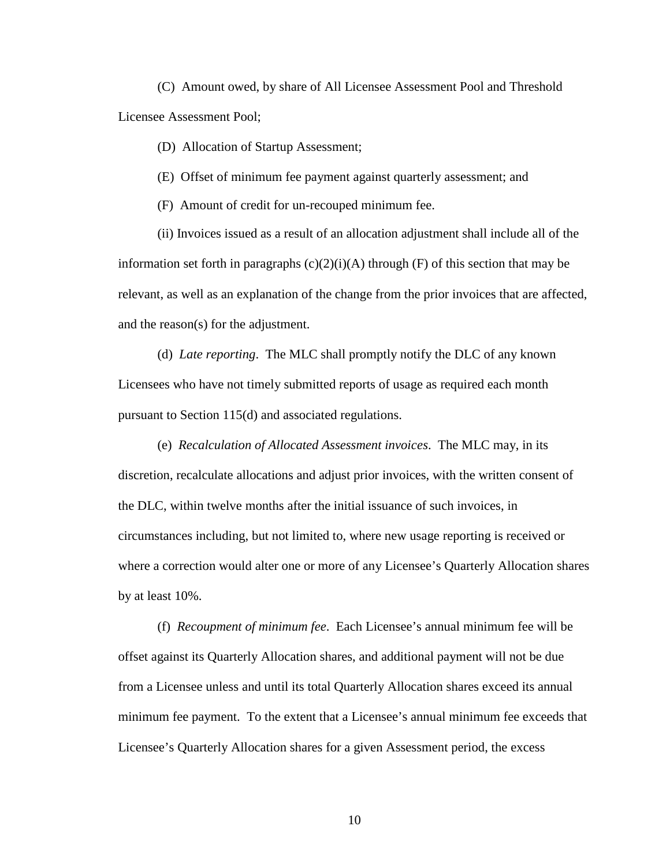(C) Amount owed, by share of All Licensee Assessment Pool and Threshold Licensee Assessment Pool;

(D) Allocation of Startup Assessment;

(E) Offset of minimum fee payment against quarterly assessment; and

(F) Amount of credit for un-recouped minimum fee.

(ii) Invoices issued as a result of an allocation adjustment shall include all of the information set forth in paragraphs  $(c)(2)(i)(A)$  through  $(F)$  of this section that may be relevant, as well as an explanation of the change from the prior invoices that are affected, and the reason(s) for the adjustment.

(d) *Late reporting*. The MLC shall promptly notify the DLC of any known Licensees who have not timely submitted reports of usage as required each month pursuant to Section 115(d) and associated regulations.

(e) *Recalculation of Allocated Assessment invoices*. The MLC may, in its discretion, recalculate allocations and adjust prior invoices, with the written consent of the DLC, within twelve months after the initial issuance of such invoices, in circumstances including, but not limited to, where new usage reporting is received or where a correction would alter one or more of any Licensee's Quarterly Allocation shares by at least 10%.

(f) *Recoupment of minimum fee*. Each Licensee's annual minimum fee will be offset against its Quarterly Allocation shares, and additional payment will not be due from a Licensee unless and until its total Quarterly Allocation shares exceed its annual minimum fee payment. To the extent that a Licensee's annual minimum fee exceeds that Licensee's Quarterly Allocation shares for a given Assessment period, the excess

10